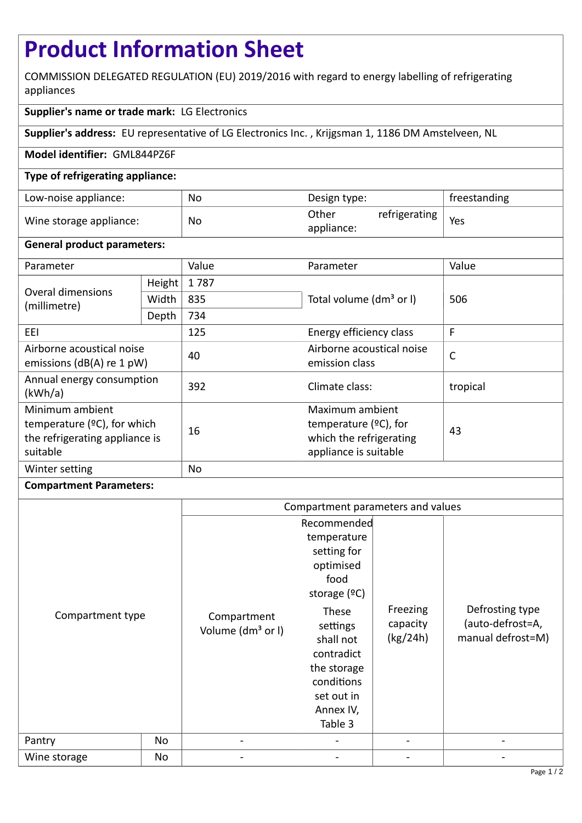# **Product Information Sheet**

COMMISSION DELEGATED REGULATION (EU) 2019/2016 with regard to energy labelling of refrigerating appliances

### **Supplier's name or trade mark:** LG Electronics

**Supplier's address:** EU representative of LG Electronics Inc. , Krijgsman 1, 1186 DM Amstelveen, NL

#### **Model identifier:** GML844PZ6F

#### **Type of refrigerating appliance:**

| Low-noise appliance:    | No | Design type:                         | freestanding |
|-------------------------|----|--------------------------------------|--------------|
| Wine storage appliance: | No | refrigerating<br>Other<br>appliance: | Yes          |

#### **General product parameters:**

| Parameter                                                                                       |        | Value | Parameter                                                                                       | Value    |
|-------------------------------------------------------------------------------------------------|--------|-------|-------------------------------------------------------------------------------------------------|----------|
| Overal dimensions<br>(millimetre)                                                               | Height | 1787  |                                                                                                 | 506      |
|                                                                                                 | Width  | 835   | Total volume (dm <sup>3</sup> or I)                                                             |          |
|                                                                                                 | Depth  | 734   |                                                                                                 |          |
| EEI                                                                                             |        | 125   | Energy efficiency class                                                                         | F        |
| Airborne acoustical noise<br>emissions ( $dB(A)$ re 1 pW)                                       |        | 40    | Airborne acoustical noise<br>emission class                                                     | C        |
| Annual energy consumption<br>(kWh/a)                                                            |        | 392   | Climate class:                                                                                  | tropical |
| Minimum ambient<br>temperature $(2C)$ , for which<br>the refrigerating appliance is<br>suitable |        | 16    | Maximum ambient<br>temperature $(2C)$ , for<br>which the refrigerating<br>appliance is suitable | 43       |
| Winter setting                                                                                  |        | No    |                                                                                                 |          |

## **Compartment Parameters:**

|                            |    | Compartment parameters and values                                        |                                                                                                                                                                                                     |                                  |                                                          |
|----------------------------|----|--------------------------------------------------------------------------|-----------------------------------------------------------------------------------------------------------------------------------------------------------------------------------------------------|----------------------------------|----------------------------------------------------------|
| Compartment type<br>Pantry | No | Compartment<br>Volume (dm <sup>3</sup> or I)<br>$\overline{\phantom{a}}$ | Recommended<br>temperature<br>setting for<br>optimised<br>food<br>storage $(°C)$<br>These<br>settings<br>shall not<br>contradict<br>the storage<br>conditions<br>set out in<br>Annex IV,<br>Table 3 | Freezing<br>capacity<br>(kg/24h) | Defrosting type<br>(auto-defrost=A,<br>manual defrost=M) |
| Wine storage               | No |                                                                          |                                                                                                                                                                                                     |                                  |                                                          |
|                            |    |                                                                          |                                                                                                                                                                                                     |                                  |                                                          |